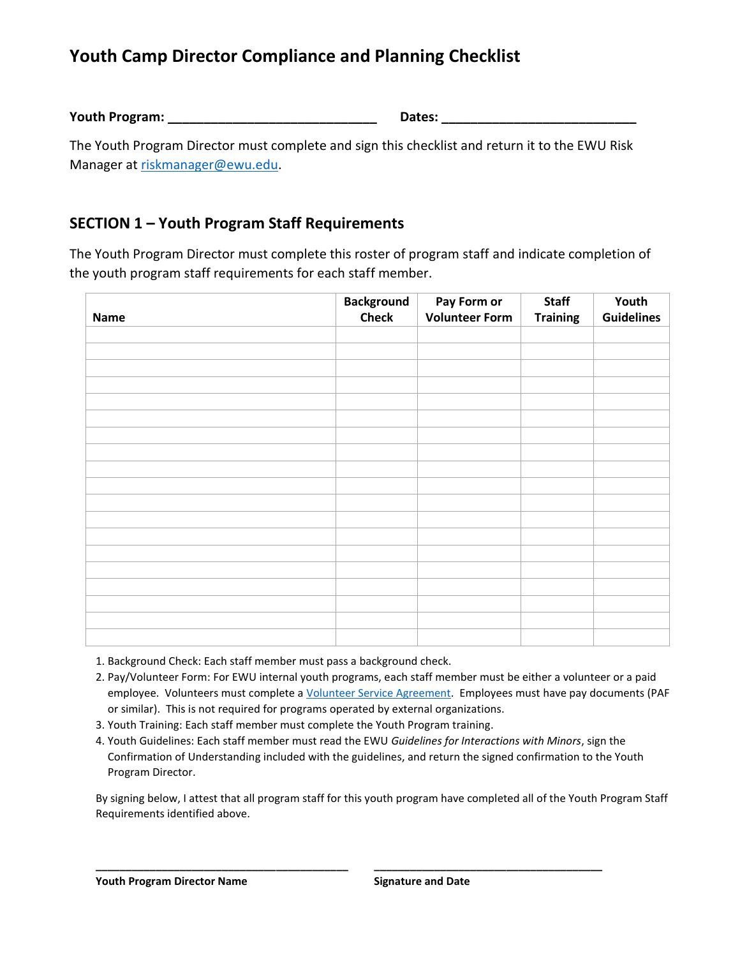## **Youth Camp Director Compliance and Planning Checklist**

**Youth Program: \_\_\_\_\_\_\_\_\_\_\_\_\_\_\_\_\_\_\_\_\_\_\_\_\_\_\_\_\_ Dates: \_\_\_\_\_\_\_\_\_\_\_\_\_\_\_\_\_\_\_\_\_\_\_\_\_\_\_**

The Youth Program Director must complete and sign this checklist and return it to the EWU Risk Manager a[t riskmanager@ewu.edu.](mailto:riskmanager@ewu.edu)

## **SECTION 1 – Youth Program Staff Requirements**

The Youth Program Director must complete this roster of program staff and indicate completion of the youth program staff requirements for each staff member.

|             | <b>Background</b> | Pay Form or           | <b>Staff</b>    | Youth             |
|-------------|-------------------|-----------------------|-----------------|-------------------|
| <b>Name</b> | <b>Check</b>      | <b>Volunteer Form</b> | <b>Training</b> | <b>Guidelines</b> |
|             |                   |                       |                 |                   |
|             |                   |                       |                 |                   |
|             |                   |                       |                 |                   |
|             |                   |                       |                 |                   |
|             |                   |                       |                 |                   |
|             |                   |                       |                 |                   |
|             |                   |                       |                 |                   |
|             |                   |                       |                 |                   |
|             |                   |                       |                 |                   |
|             |                   |                       |                 |                   |
|             |                   |                       |                 |                   |
|             |                   |                       |                 |                   |
|             |                   |                       |                 |                   |
|             |                   |                       |                 |                   |
|             |                   |                       |                 |                   |
|             |                   |                       |                 |                   |
|             |                   |                       |                 |                   |
|             |                   |                       |                 |                   |
|             |                   |                       |                 |                   |

- 1. Background Check: Each staff member must pass a background check.
- 2. Pay/Volunteer Form: For EWU internal youth programs, each staff member must be either a volunteer or a paid employee. Volunteers must complete [a Volunteer Service Agreement.](https://in.ewu.edu/hr/wp-content/uploads/sites/40/2020/07/EWU-Volunteer-Application-7.8.20.pdf) Employees must have pay documents (PAF or similar). This is not required for programs operated by external organizations.
- 3. Youth Training: Each staff member must complete the Youth Program training.
- 4. Youth Guidelines: Each staff member must read the EWU *Guidelines for Interactions with Minors*, sign the Confirmation of Understanding included with the guidelines, and return the signed confirmation to the Youth Program Director.

**\_\_\_\_\_\_\_\_\_\_\_\_\_\_\_\_\_\_\_\_\_\_\_\_\_\_\_\_\_\_\_\_\_\_\_\_\_\_\_\_\_\_ \_\_\_\_\_\_\_\_\_\_\_\_\_\_\_\_\_\_\_\_\_\_\_\_\_\_\_\_\_\_\_\_\_\_\_\_\_\_**

By signing below, I attest that all program staff for this youth program have completed all of the Youth Program Staff Requirements identified above.